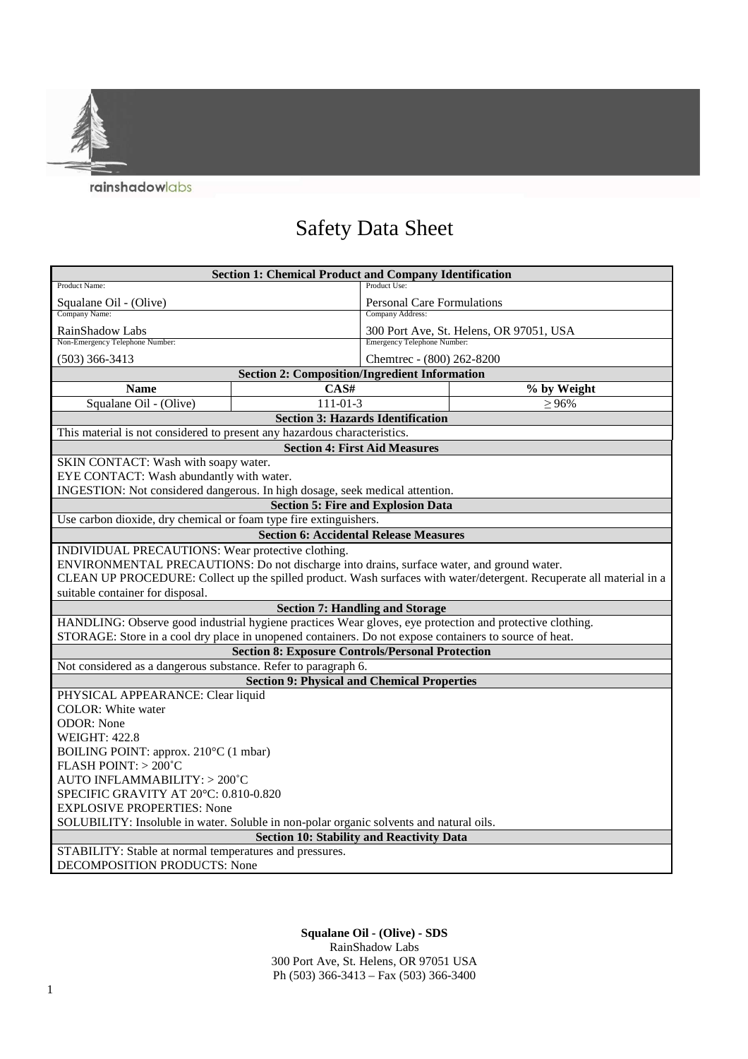rainshadowlabs

## Safety Data Sheet

| <b>Section 1: Chemical Product and Company Identification</b>                                                        |                |                                         |             |
|----------------------------------------------------------------------------------------------------------------------|----------------|-----------------------------------------|-------------|
| Product Name:                                                                                                        |                | Product Use:                            |             |
| Squalane Oil - (Olive)                                                                                               |                | <b>Personal Care Formulations</b>       |             |
| Company Name:                                                                                                        |                | Company Address:                        |             |
| RainShadow Labs                                                                                                      |                | 300 Port Ave, St. Helens, OR 97051, USA |             |
| Non-Emergency Telephone Number:                                                                                      |                | <b>Emergency Telephone Number:</b>      |             |
| $(503)$ 366-3413                                                                                                     |                | Chemtrec - (800) 262-8200               |             |
| <b>Section 2: Composition/Ingredient Information</b>                                                                 |                |                                         |             |
| <b>Name</b>                                                                                                          | CAS#           |                                         | % by Weight |
| Squalane Oil - (Olive)                                                                                               | $111 - 01 - 3$ |                                         | $\geq 96\%$ |
| <b>Section 3: Hazards Identification</b>                                                                             |                |                                         |             |
| This material is not considered to present any hazardous characteristics.                                            |                |                                         |             |
| <b>Section 4: First Aid Measures</b>                                                                                 |                |                                         |             |
| SKIN CONTACT: Wash with soapy water.                                                                                 |                |                                         |             |
| EYE CONTACT: Wash abundantly with water.                                                                             |                |                                         |             |
| INGESTION: Not considered dangerous. In high dosage, seek medical attention.                                         |                |                                         |             |
| <b>Section 5: Fire and Explosion Data</b>                                                                            |                |                                         |             |
| Use carbon dioxide, dry chemical or foam type fire extinguishers.                                                    |                |                                         |             |
| <b>Section 6: Accidental Release Measures</b>                                                                        |                |                                         |             |
| INDIVIDUAL PRECAUTIONS: Wear protective clothing.                                                                    |                |                                         |             |
| ENVIRONMENTAL PRECAUTIONS: Do not discharge into drains, surface water, and ground water.                            |                |                                         |             |
| CLEAN UP PROCEDURE: Collect up the spilled product. Wash surfaces with water/detergent. Recuperate all material in a |                |                                         |             |
| suitable container for disposal.                                                                                     |                |                                         |             |
| <b>Section 7: Handling and Storage</b>                                                                               |                |                                         |             |
| HANDLING: Observe good industrial hygiene practices Wear gloves, eye protection and protective clothing.             |                |                                         |             |
| STORAGE: Store in a cool dry place in unopened containers. Do not expose containers to source of heat.               |                |                                         |             |
| <b>Section 8: Exposure Controls/Personal Protection</b>                                                              |                |                                         |             |
| Not considered as a dangerous substance. Refer to paragraph 6.                                                       |                |                                         |             |
| <b>Section 9: Physical and Chemical Properties</b>                                                                   |                |                                         |             |
| PHYSICAL APPEARANCE: Clear liquid                                                                                    |                |                                         |             |
| <b>COLOR:</b> White water                                                                                            |                |                                         |             |
| <b>ODOR:</b> None                                                                                                    |                |                                         |             |
| <b>WEIGHT: 422.8</b>                                                                                                 |                |                                         |             |
| BOILING POINT: approx. 210°C (1 mbar)                                                                                |                |                                         |             |
| FLASH POINT: $> 200^{\circ}$ C                                                                                       |                |                                         |             |
| AUTO INFLAMMABILITY: > 200°C                                                                                         |                |                                         |             |
| SPECIFIC GRAVITY AT 20°C: 0.810-0.820                                                                                |                |                                         |             |
| <b>EXPLOSIVE PROPERTIES: None</b>                                                                                    |                |                                         |             |
| SOLUBILITY: Insoluble in water. Soluble in non-polar organic solvents and natural oils.                              |                |                                         |             |
| <b>Section 10: Stability and Reactivity Data</b>                                                                     |                |                                         |             |
| STABILITY: Stable at normal temperatures and pressures.                                                              |                |                                         |             |
| <b>DECOMPOSITION PRODUCTS: None</b>                                                                                  |                |                                         |             |

**Squalane Oil - (Olive) - SDS**  RainShadow Labs 300 Port Ave, St. Helens, OR 97051 USA Ph (503) 366-3413 – Fax (503) 366-3400